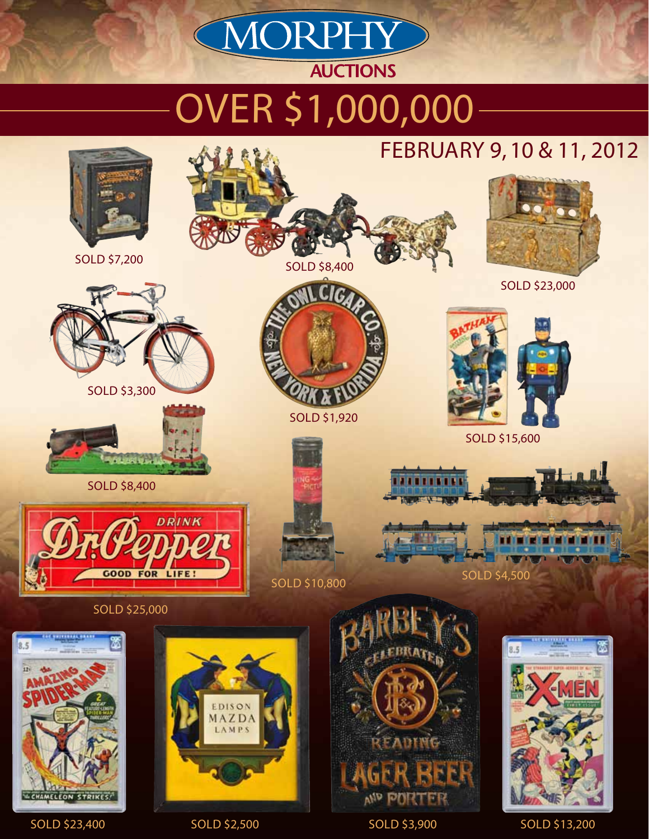# Over \$1,000,000

**AUCTIONS** 

MORPHY



sold \$23,400 sold \$2,500 sold \$3,900 sold \$13,200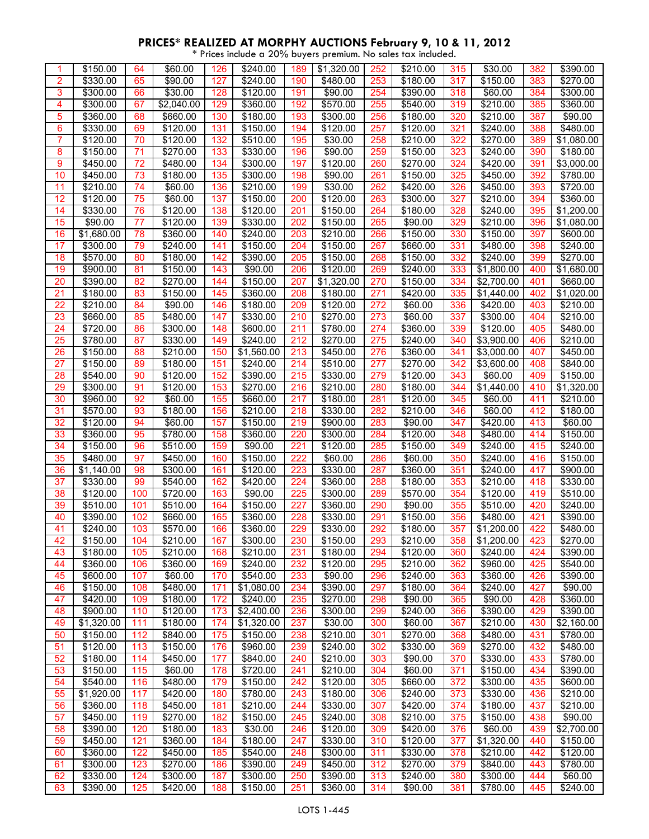| 1  | \$150.00   | 64  | \$60.00    | 126 | \$240.00            | 189 | \$1,320.00             | 252 | \$210.00         | 315 | \$30.00           | 382 | \$390.00   |
|----|------------|-----|------------|-----|---------------------|-----|------------------------|-----|------------------|-----|-------------------|-----|------------|
| 2  | \$330.00   | 65  | \$90.00    | 127 | \$240.00            | 190 | \$480.00               | 253 | \$180.00         | 317 | \$150.00          | 383 | \$270.00   |
| 3  | \$300.00   | 66  | \$30.00    | 128 | \$120.00            | 191 | \$90.00                | 254 | \$390.00         | 318 | \$60.00           | 384 | \$300.00   |
| 4  | \$300.00   | 67  | \$2,040.00 | 129 | \$360.00            | 192 | \$570.00               | 255 | \$540.00         | 319 | \$210.00          | 385 | \$360.00   |
| 5  | \$360.00   | 68  | \$660.00   | 130 | \$180.00            | 193 | \$300.00               | 256 | \$180.00         | 320 | \$210.00          | 387 | \$90.00    |
| 6  | \$330.00   | 69  | \$120.00   | 131 | \$150.00            | 194 | \$120.00               | 257 | \$120.00         | 321 | \$240.00          | 388 | \$480.00   |
| 7  |            | 70  |            | 132 | \$510.00            |     |                        | 258 | $\sqrt{$210.00}$ | 322 |                   |     |            |
|    | \$120.00   |     | \$120.00   |     |                     | 195 | \$30.00                |     |                  |     | \$270.00          | 389 | \$1,080.00 |
| 8  | \$150.00   | 71  | \$270.00   | 133 | \$330.00            | 196 | \$90.00                | 259 | \$150.00         | 323 | \$240.00          | 390 | \$180.00   |
| 9  | \$450.00   | 72  | \$480.00   | 134 | \$300.00            | 197 | \$120.00               | 260 | \$270.00         | 324 | \$420.00          | 391 | \$3,000.00 |
| 10 | \$450.00   | 73  | \$180.00   | 135 | \$300.00            | 198 | \$90.00                | 261 | \$150.00         | 325 | \$450.00          | 392 | \$780.00   |
| 11 | \$210.00   | 74  | \$60.00    | 136 | \$210.00            | 199 | \$30.00                | 262 | \$420.00         | 326 | \$450.00          | 393 | \$720.00   |
| 12 | \$120.00   | 75  | \$60.00    | 137 | \$150.00            | 200 | \$120.00               | 263 | \$300.00         | 327 | $\sqrt{2}$ 210.00 | 394 | \$360.00   |
| 14 | \$330.00   | 76  | \$120.00   | 138 | \$120.00            | 201 | \$150.00               | 264 | \$180.00         | 328 | \$240.00          | 395 | \$1,200.00 |
| 15 | \$90.00    | 77  | \$120.00   | 139 | \$330.00            | 202 | \$150.00               | 265 | \$90.00          | 329 | \$210.00          | 396 | \$1,080.00 |
|    |            |     |            |     |                     |     |                        |     |                  |     |                   |     |            |
| 16 | \$1,680.00 | 78  | \$360.00   | 140 | \$240.00            | 203 | \$210.00               | 266 | \$150.00         | 330 | \$150.00          | 397 | \$600.00   |
| 17 | \$300.00   | 79  | \$240.00   | 141 | \$150.00            | 204 | \$150.00               | 267 | \$660.00         | 331 | \$480.00          | 398 | \$240.00   |
| 18 | \$570.00   | 80  | \$180.00   | 142 | \$390.00            | 205 | \$150.00               | 268 | \$150.00         | 332 | \$240.00          | 399 | \$270.00   |
| 19 | \$900.00   | 81  | \$150.00   | 143 | \$90.00             | 206 | \$120.00               | 269 | \$240.00         | 333 | \$1,800.00        | 400 | \$1,680.00 |
| 20 | \$390.00   | 82  | \$270.00   | 144 | \$150.00            | 207 | $\overline{$1,320.00}$ | 270 | \$150.00         | 334 | \$2,700.00        | 401 | \$660.00   |
| 21 | \$180.00   | 83  | \$150.00   | 145 | \$360.00            | 208 | \$180.00               | 271 | \$420.00         | 335 | \$1,440.00        | 402 | \$1,020.00 |
| 22 | \$210.00   | 84  | \$90.00    | 146 | \$180.00            | 209 | \$120.00               | 272 | \$60.00          | 336 | \$420.00          | 403 | \$210.00   |
| 23 | \$660.00   | 85  | \$480.00   | 147 | \$330.00            | 210 | \$270.00               | 273 | \$60.00          | 337 | \$300.00          | 404 | \$210.00   |
|    |            |     |            |     |                     |     |                        |     |                  |     |                   |     |            |
| 24 | \$720.00   | 86  | \$300.00   | 148 | \$600.00            | 211 | \$780.00               | 274 | \$360.00         | 339 | \$120.00          | 405 | \$480.00   |
| 25 | \$780.00   | 87  | \$330.00   | 149 | \$240.00            | 212 | \$270.00               | 275 | \$240.00         | 340 | \$3,900.00        | 406 | \$210.00   |
| 26 | \$150.00   | 88  | \$210.00   | 150 | \$1,560.00          | 213 | \$450.00               | 276 | \$360.00         | 341 | \$3,000.00        | 407 | \$450.00   |
| 27 | \$150.00   | 89  | \$180.00   | 151 | \$240.00            | 214 | \$510.00               | 277 | \$270.00         | 342 | \$3,600.00        | 408 | \$840.00   |
| 28 | \$540.00   | 90  | \$120.00   | 152 | \$390.00            | 215 | \$330.00               | 279 | \$120.00         | 343 | \$60.00           | 409 | \$150.00   |
| 29 | \$300.00   | 91  | \$120.00   | 153 | \$270.00            | 216 | \$210.00               | 280 | \$180.00         | 344 | \$1,440.00        | 410 | \$1,320.00 |
| 30 | \$960.00   | 92  | \$60.00    | 155 | \$660.00            | 217 | \$180.00               | 281 | \$120.00         | 345 | \$60.00           | 411 | \$210.00   |
| 31 | \$570.00   | 93  | \$180.00   | 156 | \$210.00            | 218 | \$330.00               | 282 | \$210.00         | 346 | \$60.00           | 412 | \$180.00   |
|    |            |     |            |     |                     |     |                        |     |                  |     |                   |     |            |
| 32 | \$120.00   | 94  | \$60.00    | 157 | \$150.00            | 219 | \$900.00               | 283 | \$90.00          | 347 | \$420.00          | 413 | \$60.00    |
| 33 | \$360.00   | 95  | \$780.00   | 158 | \$360.00            | 220 | \$300.00               | 284 | \$120.00         | 348 | \$480.00          | 414 | \$150.00   |
| 34 | \$150.00   | 96  | \$510.00   | 159 | \$90.00             | 221 | \$120.00               | 285 | \$150.00         | 349 | \$240.00          | 415 | \$240.00   |
| 35 | \$480.00   | 97  | \$450.00   | 160 | \$150.00            | 222 | \$60.00                | 286 | \$60.00          | 350 | \$240.00          | 416 | \$150.00   |
| 36 | \$1,140.00 | 98  | \$300.00   | 161 | \$120.00            | 223 | \$330.00               | 287 | \$360.00         | 351 | \$240.00          | 417 | \$900.00   |
| 37 | \$330.00   | 99  | \$540.00   | 162 | \$420.00            | 224 | $\overline{$}360.00$   | 288 | \$180.00         | 353 | $\sqrt{2}$ 210.00 | 418 | \$330.00   |
| 38 | \$120.00   | 100 | \$720.00   | 163 | \$90.00             | 225 | \$300.00               | 289 | \$570.00         | 354 | \$120.00          | 419 | \$510.00   |
| 39 | \$510.00   | 101 | \$510.00   | 164 | \$150.00            | 227 | \$360.00               | 290 | \$90.00          | 355 | \$510.00          | 420 | \$240.00   |
|    |            |     |            |     | \$360.00            |     | \$330.00               |     |                  |     |                   |     |            |
| 40 | \$390.00   | 102 | \$660.00   | 165 |                     | 228 |                        | 291 | \$150.00         | 356 | \$480.00          | 421 | \$390.00   |
| 41 | \$240.00   | 103 | \$570.00   | 166 | \$360.00            | 229 | \$330.00               | 292 | \$180.00         | 357 | \$1,200.00        | 422 | \$480.00   |
| 42 | \$150.00   | 104 | \$210.00   | 167 | \$300.00            | 230 | \$150.00               | 293 | \$210.00         | 358 | \$1,200.00        | 423 | \$270.00   |
| 43 | \$180.00   | 105 | \$210.00   | 168 | $\frac{1}{2210.00}$ | 231 | \$180.00               | 294 | \$120.00         | 360 | \$240.00          | 424 | \$390.00   |
| 44 | \$360.00   | 106 | \$360.00   | 169 | \$240.00            | 232 | \$120.00               | 295 | \$210.00         | 362 | \$960.00          | 425 | \$540.00   |
| 45 | \$600.00   | 107 | \$60.00    | 170 | \$540.00            | 233 | \$90.00                | 296 | \$240.00         | 363 | \$360.00          | 426 | \$390.00   |
| 46 | \$150.00   | 108 | \$480.00   | 171 | \$1,080.00          | 234 | \$390.00               | 297 | \$180.00         | 364 | \$240.00          | 427 | \$90.00    |
| 47 | \$420.00   | 109 | \$180.00   | 172 | \$240.00            | 235 | \$270.00               | 298 | \$90.00          | 365 | \$90.00           | 428 | \$360.00   |
| 48 | \$900.00   | 110 | \$120.00   | 173 | \$2,400.00          | 236 | \$300.00               | 299 | \$240.00         | 366 | \$390.00          | 429 | \$390.00   |
| 49 | \$1,320.00 | 111 | \$180.00   | 174 |                     | 237 | \$30.00                | 300 | \$60.00          | 367 | \$210.00          | 430 | \$2,160.00 |
|    |            |     |            |     | \$1,320.00          |     |                        |     |                  |     |                   |     |            |
| 50 | \$150.00   | 112 | \$840.00   | 175 | \$150.00            | 238 | \$210.00               | 301 | \$270.00         | 368 | \$480.00          | 431 | \$780.00   |
| 51 | \$120.00   | 113 | \$150.00   | 176 | \$960.00            | 239 | \$240.00               | 302 | \$330.00         | 369 | \$270.00          | 432 | \$480.00   |
| 52 | \$180.00   | 114 | \$450.00   | 177 | \$840.00            | 240 | \$210.00               | 303 | \$90.00          | 370 | \$330.00          | 433 | \$780.00   |
| 53 | \$150.00   | 115 | \$60.00    | 178 | \$720.00            | 241 | \$210.00               | 304 | \$60.00          | 371 | \$150.00          | 434 | \$390.00   |
| 54 | \$540.00   | 116 | \$480.00   | 179 | \$150.00            | 242 | \$120.00               | 305 | \$660.00         | 372 | \$300.00          | 435 | \$600.00   |
| 55 | \$1,920.00 | 117 | \$420.00   | 180 | \$780.00            | 243 | \$180.00               | 306 | \$240.00         | 373 | \$330.00          | 436 | \$210.00   |
| 56 | \$360.00   | 118 | \$450.00   | 181 | \$210.00            | 244 | \$330.00               | 307 | \$420.00         | 374 | \$180.00          | 437 | \$210.00   |
| 57 | \$450.00   | 119 | \$270.00   | 182 | \$150.00            | 245 | \$240.00               | 308 |                  | 375 | \$150.00          |     | \$90.00    |
|    |            |     |            |     |                     |     |                        |     | \$210.00         |     |                   | 438 |            |
| 58 | \$390.00   | 120 | \$180.00   | 183 | \$30.00             | 246 | \$120.00               | 309 | \$420.00         | 376 | \$60.00           | 439 | \$2,700.00 |
| 59 | \$450.00   | 121 | \$360.00   | 184 | \$180.00            | 247 | \$330.00               | 310 | \$120.00         | 377 | \$1,320.00        | 440 | \$150.00   |
| 60 | \$360.00   | 122 | \$450.00   | 185 | \$540.00            | 248 | \$300.00               | 311 | \$330.00         | 378 | \$210.00          | 442 | \$120.00   |
| 61 | \$300.00   | 123 | \$270.00   | 186 | \$390.00            | 249 | \$450.00               | 312 | \$270.00         | 379 | \$840.00          | 443 | \$780.00   |
| 62 | \$330.00   | 124 | \$300.00   | 187 | \$300.00            | 250 | \$390.00               | 313 | \$240.00         | 380 | \$300.00          | 444 | \$60.00    |
| 63 | \$390.00   | 125 | \$420.00   | 188 | \$150.00            | 251 | \$360.00               | 314 | \$90.00          | 381 | \$780.00          | 445 | \$240.00   |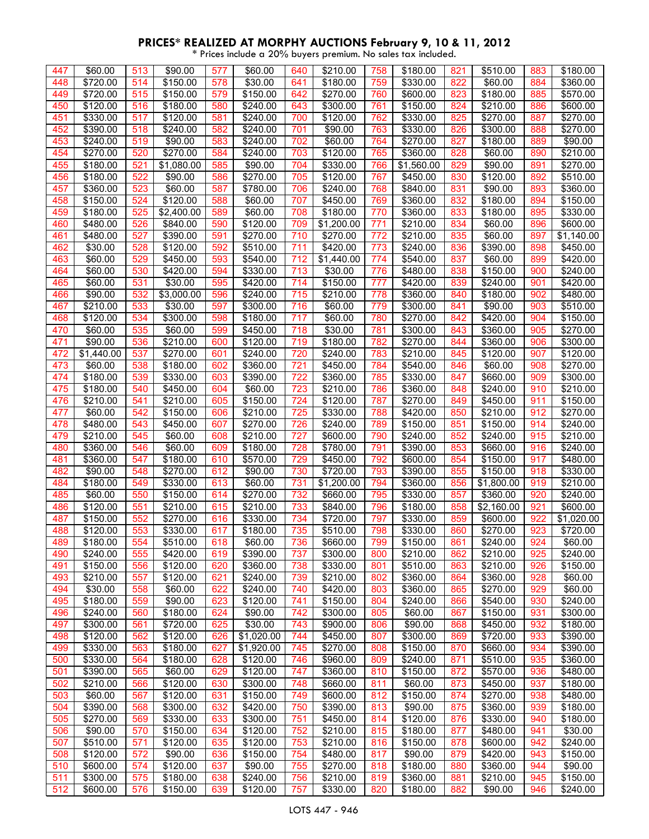| 447 | \$60.00             | 513 | \$90.00    | 577 | \$60.00              | 640 | \$210.00            | 758        | \$180.00   | 821 | \$510.00   | 883 | \$180.00   |
|-----|---------------------|-----|------------|-----|----------------------|-----|---------------------|------------|------------|-----|------------|-----|------------|
| 448 | \$720.00            | 514 | \$150.00   | 578 | \$30.00              | 641 | \$180.00            | 759        | \$330.00   | 822 | \$60.00    | 884 | \$360.00   |
| 449 | \$720.00            | 515 | \$150.00   | 579 | \$150.00             | 642 | \$270.00            | 760        | \$600.00   | 823 | \$180.00   | 885 | \$570.00   |
| 450 | \$120.00            | 516 | \$180.00   | 580 | \$240.00             | 643 | \$300.00            | 761        | \$150.00   | 824 | \$210.00   | 886 | \$600.00   |
| 451 | \$330.00            | 517 | \$120.00   | 581 | \$240.00             | 700 | \$120.00            | 762        | \$330.00   | 825 | \$270.00   | 887 | \$270.00   |
| 452 | $\frac{1}{3}390.00$ | 518 | \$240.00   | 582 | \$240.00             | 701 | \$90.00             | 763        | \$330.00   | 826 | \$300.00   | 888 | \$270.00   |
| 453 | \$240.00            | 519 | \$90.00    | 583 | \$240.00             | 702 | \$60.00             | 764        | \$270.00   | 827 | \$180.00   | 889 | \$90.00    |
| 454 | \$270.00            | 520 | \$270.00   | 584 | \$240.00             | 703 | \$120.00            | 765        | \$360.00   | 828 | \$60.00    | 890 | \$210.00   |
| 455 | \$180.00            | 521 | \$1,080.00 | 585 | \$90.00              | 704 | \$330.00            | 766        | \$1,560.00 | 829 | \$90.00    | 891 | \$270.00   |
| 456 | \$180.00            | 522 | \$90.00    | 586 | \$270.00             | 705 | \$120.00            | 767        | \$450.00   | 830 | \$120.00   | 892 | \$510.00   |
| 457 | \$360.00            | 523 | \$60.00    | 587 | \$780.00             | 706 | \$240.00            | 768        | \$840.00   | 831 | \$90.00    | 893 | \$360.00   |
| 458 | \$150.00            | 524 | \$120.00   | 588 | \$60.00              | 707 | \$450.00            | 769        | \$360.00   | 832 | \$180.00   | 894 | \$150.00   |
| 459 | \$180.00            | 525 | \$2,400.00 | 589 | \$60.00              | 708 | \$180.00            |            | \$360.00   | 833 | \$180.00   | 895 | \$330.00   |
| 460 | \$480.00            | 526 | \$840.00   | 590 | \$120.00             | 709 | \$1,200.00          | 770<br>771 | \$210.00   | 834 | \$60.00    | 896 | \$600.00   |
| 461 | \$480.00            | 527 | \$390.00   | 591 | \$270.00             | 710 | \$270.00            | 772        | \$210.00   | 835 | \$60.00    | 897 | \$1,140.00 |
| 462 | \$30.00             | 528 | \$120.00   | 592 | \$510.00             | 711 | \$420.00            | 773        | \$240.00   | 836 | \$390.00   | 898 | \$450.00   |
| 463 | \$60.00             | 529 | \$450.00   | 593 | \$540.00             | 712 | \$1,440.00          | 774        | \$540.00   | 837 | \$60.00    | 899 | \$420.00   |
|     | \$60.00             |     |            |     |                      |     |                     |            |            |     |            |     |            |
| 464 |                     | 530 | \$420.00   | 594 | \$330.00             | 713 | \$30.00             | 776        | \$480.00   | 838 | \$150.00   | 900 | \$240.00   |
| 465 | \$60.00             | 531 | \$30.00    | 595 | \$420.00             | 714 | \$150.00            | 777        | \$420.00   | 839 | \$240.00   | 901 | \$420.00   |
| 466 | \$90.00             | 532 | \$3,000.00 | 596 | \$240.00             | 715 | $\sqrt{$210.00}$    | 778        | \$360.00   | 840 | \$180.00   | 902 | \$480.00   |
| 467 | \$210.00            | 533 | \$30.00    | 597 | \$300.00             | 716 | \$60.00             | 779        | \$300.00   | 841 | \$90.00    | 903 | \$510.00   |
| 468 | \$120.00            | 534 | \$300.00   | 598 | \$180.00             | 717 | \$60.00             | 780        | \$270.00   | 842 | \$420.00   | 904 | \$150.00   |
| 470 | \$60.00             | 535 | \$60.00    | 599 | \$450.00             | 718 | \$30.00             | 781        | \$300.00   | 843 | \$360.00   | 905 | \$270.00   |
| 471 | \$90.00             | 536 | \$210.00   | 600 | \$120.00             | 719 | \$180.00            | 782        | \$270.00   | 844 | \$360.00   | 906 | \$300.00   |
| 472 | \$1,440.00          | 537 | \$270.00   | 601 | \$240.00             | 720 | \$240.00            | 783        | \$210.00   | 845 | \$120.00   | 907 | \$120.00   |
| 473 | \$60.00             | 538 | \$180.00   | 602 | \$360.00             | 721 | \$450.00            | 784        | \$540.00   | 846 | \$60.00    | 908 | \$270.00   |
| 474 | \$180.00            | 539 | \$330.00   | 603 | \$390.00             | 722 | \$360.00            | 785        | \$330.00   | 847 | \$660.00   | 909 | \$300.00   |
| 475 | \$180.00            | 540 | \$450.00   | 604 | \$60.00              | 723 | \$210.00            | 786        | \$360.00   | 848 | \$240.00   | 910 | \$210.00   |
| 476 | \$210.00            | 541 | \$210.00   | 605 | \$150.00             | 724 | \$120.00            | 787        | \$270.00   | 849 | \$450.00   | 911 | \$150.00   |
| 477 | \$60.00             | 542 | \$150.00   | 606 | \$210.00             | 725 | \$330.00            | 788        | \$420.00   | 850 | \$210.00   | 912 | \$270.00   |
| 478 | \$480.00            | 543 | \$450.00   | 607 | \$270.00             | 726 | \$240.00            | 789        | \$150.00   | 851 | \$150.00   | 914 | \$240.00   |
| 479 | \$210.00            | 545 | \$60.00    | 608 | \$210.00             | 727 | \$600.00            | 790        | \$240.00   | 852 | \$240.00   | 915 | \$210.00   |
| 480 | \$360.00            | 546 | \$60.00    | 609 | \$180.00             | 728 | \$780.00            | 791        | \$390.00   | 853 | \$660.00   | 916 | \$240.00   |
| 481 | \$360.00            | 547 | \$180.00   | 610 | \$570.00             | 729 | \$450.00            | 792        | \$600.00   | 854 | \$150.00   | 917 | \$480.00   |
| 482 | \$90.00             | 548 | \$270.00   | 612 | \$90.00              | 730 | \$720.00            | 793        | \$390.00   | 855 | \$150.00   | 918 | \$330.00   |
| 484 | \$180.00            | 549 | \$330.00   | 613 | \$60.00              | 731 | \$1,200.00          | 794        | \$360.00   | 856 | \$1,800.00 | 919 | \$210.00   |
| 485 | \$60.00             | 550 | \$150.00   | 614 | \$270.00             | 732 | \$660.00            | 795        | \$330.00   | 857 | \$360.00   | 920 | \$240.00   |
| 486 | \$120.00            | 551 | \$210.00   | 615 | \$210.00             | 733 | \$840.00            | 796        | \$180.00   | 858 | \$2,160.00 | 921 | \$600.00   |
| 487 | \$150.00            | 552 | \$270.00   | 616 | \$330.00             | 734 | \$720.00            | 797        | \$330.00   | 859 | \$600.00   | 922 | \$1,020.00 |
| 488 | \$120.00            | 553 | \$330.00   | 617 | \$180.00             | 735 | \$510.00            | 798        | \$330.00   | 860 | \$270.00   | 923 | \$720.00   |
| 489 | \$180.00            | 554 | \$510.00   | 618 | \$60.00              | 736 | \$660.00            | 799        | \$150.00   | 861 | \$240.00   | 924 | \$60.00    |
| 490 | \$240.00            | 555 | \$420.00   | 619 | \$390.00             | 737 | \$300.00            | 800        | \$210.00   | 862 | \$210.00   | 925 | \$240.00   |
| 491 | \$150.00            | 556 | \$120.00   | 620 | \$360.00             | 738 | \$330.00            | 801        | \$510.00   | 863 | \$210.00   | 926 | \$150.00   |
| 493 | \$210.00            | 557 | \$120.00   | 621 | \$240.00             | 739 | \$210.00            | 802        | \$360.00   | 864 | \$360.00   | 928 | \$60.00    |
| 494 | \$30.00             | 558 | \$60.00    | 622 | \$240.00             | 740 | \$420.00            | 803        | \$360.00   | 865 | \$270.00   | 929 | \$60.00    |
| 495 | \$180.00            | 559 | \$90.00    | 623 | \$120.00             | 741 | \$150.00            | 804        | \$240.00   | 866 | \$540.00   | 930 | \$240.00   |
| 496 | \$240.00            | 560 | \$180.00   | 624 | \$90.00              | 742 | \$300.00            | 805        | \$60.00    | 867 | \$150.00   | 931 | \$300.00   |
| 497 | \$300.00            | 561 | \$720.00   | 625 | \$30.00              | 743 | \$900.00            | 806        | \$90.00    | 868 | \$450.00   | 932 | \$180.00   |
| 498 | \$120.00            | 562 | \$120.00   | 626 | \$1,020.00           | 744 | \$450.00            | 807        | \$300.00   | 869 | \$720.00   | 933 | \$390.00   |
| 499 | \$330.00            | 563 | \$180.00   | 627 | \$1,920.00           | 745 | \$270.00            | 808        | \$150.00   | 870 | \$660.00   | 934 | \$390.00   |
| 500 | \$330.00            | 564 | \$180.00   | 628 | \$120.00             | 746 | \$960.00            | 809        | \$240.00   | 871 | \$510.00   | 935 | \$360.00   |
| 501 | \$390.00            | 565 | \$60.00    | 629 | \$120.00             | 747 | \$360.00            | 810        | \$150.00   | 872 | \$570.00   | 936 | \$480.00   |
| 502 | \$210.00            | 566 | \$120.00   | 630 | \$300.00             | 748 | \$660.00            | 811        | \$60.00    | 873 | \$450.00   | 937 | \$180.00   |
| 503 | \$60.00             | 567 | \$120.00   | 631 | \$150.00             | 749 | $\frac{1}{6}600.00$ | 812        | \$150.00   | 874 | \$270.00   | 938 | \$480.00   |
| 504 | \$390.00            | 568 | \$300.00   | 632 | \$420.00             | 750 | \$390.00            | 813        | \$90.00    | 875 | \$360.00   | 939 | \$180.00   |
| 505 | \$270.00            | 569 | \$330.00   | 633 | \$300.00             | 751 | \$450.00            | 814        | \$120.00   | 876 | \$330.00   | 940 | \$180.00   |
| 506 | \$90.00             | 570 | \$150.00   | 634 | $\overline{$}120.00$ | 752 | \$210.00            | 815        | \$180.00   | 877 | \$480.00   | 941 | \$30.00    |
| 507 | \$510.00            | 571 | \$120.00   | 635 | \$120.00             | 753 | \$210.00            | 816        | \$150.00   | 878 | \$600.00   | 942 | \$240.00   |
| 508 | \$120.00            | 572 | \$90.00    | 636 | \$150.00             | 754 | \$480.00            | 817        | \$90.00    | 879 | \$420.00   | 943 | \$150.00   |
| 510 | \$600.00            | 574 | \$120.00   | 637 | \$90.00              | 755 | \$270.00            | 818        | \$180.00   | 880 | \$360.00   | 944 | \$90.00    |
| 511 | \$300.00            | 575 | \$180.00   | 638 | \$240.00             | 756 | \$210.00            | 819        | \$360.00   | 881 | \$210.00   | 945 | \$150.00   |
| 512 | \$600.00            | 576 | \$150.00   | 639 | \$120.00             | 757 | \$330.00            | 820        | \$180.00   | 882 | \$90.00    | 946 | \$240.00   |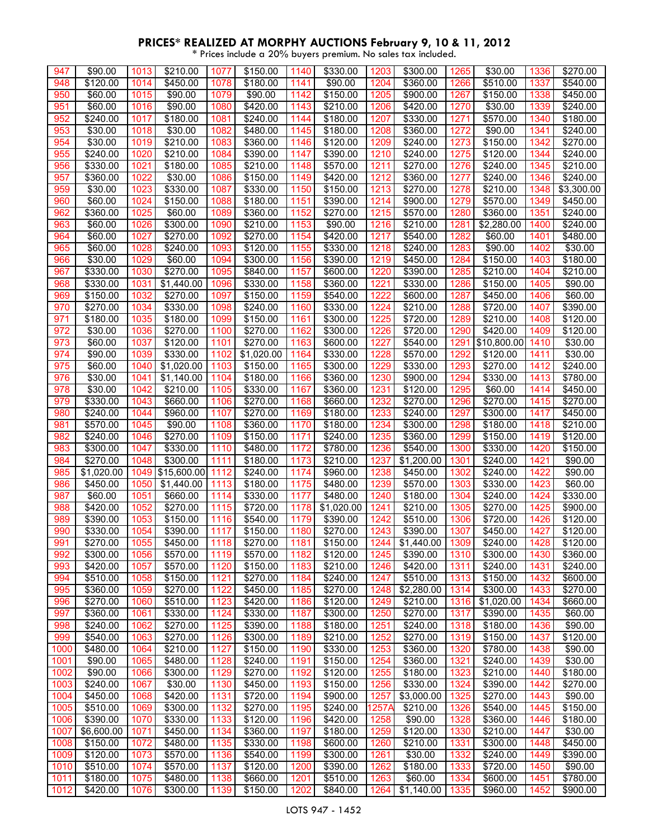| 947  | \$90.00         | 1013 | \$210.00                | 1077 | \$150.00             | 1140 | \$330.00             | 1203  | \$300.00             | 1265 | \$30.00              | 1336 | \$270.00         |
|------|-----------------|------|-------------------------|------|----------------------|------|----------------------|-------|----------------------|------|----------------------|------|------------------|
| 948  | \$120.00        | 1014 | \$450.00                | 1078 | \$180.00             | 1141 | \$90.00              | 1204  | \$360.00             | 1266 | \$510.00             | 1337 | \$540.00         |
| 950  | \$60.00         | 1015 | \$90.00                 | 1079 | \$90.00              | 1142 | \$150.00             | 1205  | \$900.00             | 1267 | \$150.00             | 1338 | $\sqrt{3}450.00$ |
| 951  | \$60.00         | 1016 | \$90.00                 | 1080 | \$420.00             | 1143 | \$210.00             | 1206  | \$420.00             | 1270 | \$30.00              | 1339 | \$240.00         |
| 952  | \$240.00        | 1017 | \$180.00                | 1081 | \$240.00             | 1144 | $\overline{$}180.00$ | 1207  | \$330.00             | 1271 | \$570.00             | 1340 | \$180.00         |
| 953  | \$30.00         | 1018 | \$30.00                 | 1082 | \$480.00             | 1145 | $\overline{$}180.00$ | 1208  | \$360.00             | 1272 | \$90.00              | 1341 | \$240.00         |
| 954  | \$30.00         | 1019 | \$210.00                | 1083 | \$360.00             | 1146 | \$120.00             | 1209  | \$240.00             | 1273 | \$150.00             | 1342 | \$270.00         |
| 955  | \$240.00        | 1020 | \$210.00                | 1084 | \$390.00             | 1147 | \$390.00             | 1210  | \$240.00             | 1275 | \$120.00             | 1344 | \$240.00         |
|      |                 |      |                         |      |                      |      |                      |       |                      |      |                      |      |                  |
| 956  | \$330.00        | 1021 | \$180.00                | 1085 | \$210.00             | 1148 | \$570.00             | 1211  | \$270.00             | 1276 | \$240.00             | 1345 | \$210.00         |
| 957  | \$360.00        | 1022 | \$30.00                 | 1086 | \$150.00             | 1149 | \$420.00             | 1212  | \$360.00             | 1277 | \$240.00             | 1346 | \$240.00         |
| 959  | \$30.00         | 1023 | \$330.00                | 1087 | \$330.00             | 1150 | \$150.00             | 1213  | $\overline{$}270.00$ | 1278 | $\overline{$}210.00$ | 1348 | \$3,300.00       |
| 960  | \$60.00         | 1024 | \$150.00                | 1088 | $\overline{$}180.00$ | 1151 | \$390.00             | 1214  | \$900.00             | 1279 | \$570.00             | 1349 | \$450.00         |
| 962  | \$360.00        | 1025 | \$60.00                 | 1089 | \$360.00             | 1152 | \$270.00             | 1215  | \$570.00             | 1280 | \$360.00             | 1351 | \$240.00         |
| 963  | \$60.00         | 1026 | \$300.00                | 1090 | \$210.00             | 1153 | \$90.00              | 1216  | \$210.00             | 1281 | \$2,280.00           | 1400 | \$240.00         |
| 964  | \$60.00         | 1027 | \$270.00                | 1092 | \$270.00             | 1154 | \$420.00             | 1217  | \$540.00             | 1282 | \$60.00              | 1401 | \$480.00         |
| 965  | \$60.00         | 1028 | \$240.00                | 1093 | \$120.00             | 1155 | \$330.00             | 1218  | \$240.00             | 1283 | \$90.00              | 1402 | \$30.00          |
| 966  | \$30.00         | 1029 | \$60.00                 | 1094 | \$300.00             | 1156 | \$390.00             | 1219  | \$450.00             | 1284 | \$150.00             | 1403 | \$180.00         |
| 967  | \$330.00        | 1030 | \$270.00                | 1095 | \$840.00             | 1157 | \$600.00             | 1220  | \$390.00             | 1285 | \$210.00             | 1404 | \$210.00         |
| 968  | \$330.00        | 1031 | \$1,440.00              | 1096 | \$330.00             | 1158 | \$360.00             | 1221  | \$330.00             | 1286 | \$150.00             | 1405 | \$90.00          |
| 969  | \$150.00        | 1032 | \$270.00                | 1097 | \$150.00             | 1159 | \$540.00             | 1222  | \$600.00             | 1287 | \$450.00             | 1406 | \$60.00          |
| 970  | \$270.00        | 1034 | \$330.00                | 1098 | \$240.00             | 1160 | \$330.00             | 1224  | \$210.00             | 1288 | \$720.00             | 1407 | \$390.00         |
| 971  | \$180.00        | 1035 | \$180.00                | 1099 | \$150.00             | 1161 | \$300.00             | 1225  | \$720.00             | 1289 | \$210.00             | 1408 | \$120.00         |
| 972  | \$30.00         | 1036 | \$270.00                | 1100 | \$270.00             | 1162 | \$300.00             | 1226  | \$720.00             | 1290 | \$420.00             | 1409 | \$120.00         |
| 973  | \$60.00         | 1037 | \$120.00                | 1101 | \$270.00             | 1163 | \$600.00             | 1227  | \$540.00             | 1291 | \$10,800.00          | 1410 | \$30.00          |
|      |                 |      |                         |      |                      |      |                      |       |                      |      |                      |      |                  |
| 974  | \$90.00         | 1039 | \$330.00                | 1102 | \$1,020.00           | 1164 | \$330.00             | 1228  | \$570.00             | 1292 | \$120.00             | 1411 | \$30.00          |
| 975  | \$60.00         | 1040 | \$1,020.00              | 1103 | \$150.00             | 1165 | \$300.00             | 1229  | \$330.00             | 1293 | $\sqrt{$270.00}$     | 1412 | \$240.00         |
| 976  | \$30.00         | 1041 | \$1,140.00              | 1104 | \$180.00             | 1166 | \$360.00             | 1230  | \$900.00             | 1294 | \$330.00             | 1413 | \$780.00         |
| 978  | \$30.00         | 1042 | \$210.00                | 1105 | \$330.00             | 1167 | \$360.00             | 1231  | \$120.00             | 1295 | \$60.00              | 1414 | \$450.00         |
| 979  | \$330.00        | 1043 | \$660.00                | 1106 | \$270.00             | 1168 | \$660.00             | 1232  | \$270.00             | 1296 | \$270.00             | 1415 | \$270.00         |
| 980  | \$240.00        | 1044 | \$960.00                | 1107 | \$270.00             | 1169 | \$180.00             | 1233  | \$240.00             | 1297 | \$300.00             | 1417 | \$450.00         |
| 981  | \$570.00        | 1045 | \$90.00                 | 1108 | \$360.00             | 1170 | \$180.00             | 1234  | \$300.00             | 1298 | \$180.00             | 1418 | \$210.00         |
| 982  | $\sqrt{240.00}$ | 1046 | \$270.00                | 1109 | \$150.00             | 1171 | \$240.00             | 1235  | \$360.00             | 1299 | \$150.00             | 1419 | \$120.00         |
| 983  | \$300.00        | 1047 | \$330.00                | 1110 | \$480.00             | 1172 | \$780.00             | 1236  | \$540.00             | 1300 | \$330.00             | 1420 | \$150.00         |
| 984  | \$270.00        | 1048 | \$300.00                | 1111 | \$180.00             | 1173 | \$210.00             | 1237  | \$1,200.00           | 1301 | \$240.00             | 1421 | \$90.00          |
| 985  | \$1,020.00      | 1049 | $\overline{$15,600.00}$ | 1112 | \$240.00             | 1174 | \$960.00             | 1238  | \$450.00             | 1302 | $\sqrt{$240.00}$     | 1422 | \$90.00          |
| 986  | \$450.00        | 1050 | \$1,440.00              | 1113 | \$180.00             | 1175 | \$480.00             | 1239  | \$570.00             | 1303 | \$330.00             | 1423 | \$60.00          |
| 987  | \$60.00         | 1051 | \$660.00                | 1114 | \$330.00             | 1177 | \$480.00             | 1240  | \$180.00             | 1304 | \$240.00             | 1424 | \$330.00         |
| 988  | \$420.00        | 1052 | \$270.00                | 1115 | \$720.00             | 1178 | \$1,020.00           | 1241  | \$210.00             | 1305 | $\sqrt{$270.00}$     | 1425 | \$900.00         |
| 989  | \$390.00        | 1053 | \$150.00                | 1116 | \$540.00             | 1179 | \$390.00             | 1242  | \$510.00             | 1306 | \$720.00             | 1426 | \$120.00         |
| 990  | \$330.00        | 1054 | \$390.00                | 1117 | \$150.00             | 1180 | \$270.00             | 1243  | \$390.00             | 1307 | \$450.00             | 1427 | \$120.00         |
| 991  | \$270.00        | 1055 | \$450.00                | 1118 | \$270.00             | 1181 | \$150.00             | 1244  | \$1,440.00           | 1309 | \$240.00             | 1428 | \$120.00         |
| 992  | \$300.00        | 1056 | \$570.00                | 1119 | \$570.00             | 1182 | \$120.00             | 1245  | \$390.00             | 1310 | \$300.00             | 1430 | \$360.00         |
| 993  | \$420.00        | 1057 | \$570.00                | 1120 | \$150.00             | 1183 | \$210.00             | 1246  | \$420.00             | 1311 | \$240.00             | 1431 | \$240.00         |
|      |                 |      |                         |      |                      |      |                      |       |                      |      |                      |      |                  |
| 994  | \$510.00        | 1058 | \$150.00                | 1121 | \$270.00             | 1184 | \$240.00             | 1247  | \$510.00             | 1313 | \$150.00             | 1432 | \$600.00         |
| 995  | \$360.00        | 1059 | \$270.00                | 1122 | \$450.00             | 1185 | \$270.00             | 1248  | \$2,280.00           | 1314 | \$300.00             | 1433 | \$270.00         |
| 996  | \$270.00        | 1060 | \$510.00                | 1123 | \$420.00             | 1186 | \$120.00             | 1249  | \$210.00             | 1316 | \$1,020.00           | 1434 | \$660.00         |
| 997  | \$360.00        | 1061 | \$330.00                | 1124 | \$330.00             | 1187 | \$300.00             | 1250  | \$270.00             | 1317 | \$390.00             | 1435 | \$60.00          |
| 998  | \$240.00        | 1062 | \$270.00                | 1125 | \$390.00             | 1188 | \$180.00             | 1251  | \$240.00             | 1318 | \$180.00             | 1436 | \$90.00          |
| 999  | \$540.00        | 1063 | \$270.00                | 1126 | \$300.00             | 1189 | \$210.00             | 1252  | \$270.00             | 1319 | \$150.00             | 1437 | \$120.00         |
| 1000 | \$480.00        | 1064 | \$210.00                | 1127 | \$150.00             | 1190 | \$330.00             | 1253  | \$360.00             | 1320 | \$780.00             | 1438 | \$90.00          |
| 1001 | \$90.00         | 1065 | \$480.00                | 1128 | \$240.00             | 1191 | \$150.00             | 1254  | \$360.00             | 1321 | \$240.00             | 1439 | \$30.00          |
| 1002 | \$90.00         | 1066 | \$300.00                | 1129 | \$270.00             | 1192 | \$120.00             | 1255  | \$180.00             | 1323 | \$210.00             | 1440 | \$180.00         |
| 1003 | \$240.00        | 1067 | \$30.00                 | 1130 | \$450.00             | 1193 | \$150.00             | 1256  | \$330.00             | 1324 | \$390.00             | 1442 | \$270.00         |
| 1004 | \$450.00        | 1068 | \$420.00                | 1131 | \$720.00             | 1194 | \$900.00             | 1257  | \$3,000.00           | 1325 | \$270.00             | 1443 | \$90.00          |
| 1005 | \$510.00        | 1069 | \$300.00                | 1132 | \$270.00             | 1195 | \$240.00             | 1257A | \$210.00             | 1326 | \$540.00             | 1445 | \$150.00         |
| 1006 | \$390.00        | 1070 | \$330.00                | 1133 | \$120.00             | 1196 | \$420.00             | 1258  | \$90.00              | 1328 | \$360.00             | 1446 | \$180.00         |
| 1007 | \$6,600.00      | 1071 | \$450.00                | 1134 | \$360.00             | 1197 | \$180.00             | 1259  | \$120.00             | 1330 | \$210.00             | 1447 | \$30.00          |
| 1008 | \$150.00        | 1072 | \$480.00                | 1135 | \$330.00             | 1198 | \$600.00             | 1260  | \$210.00             | 1331 | \$300.00             | 1448 | \$450.00         |
| 1009 | \$120.00        | 1073 | \$570.00                | 1136 | \$540.00             | 1199 | \$300.00             | 1261  | \$30.00              | 1332 | \$240.00             | 1449 | \$390.00         |
| 1010 | \$510.00        | 1074 | \$570.00                | 1137 | \$120.00             | 1200 | \$390.00             | 1262  | \$180.00             | 1333 | \$720.00             | 1450 | \$90.00          |
|      |                 |      |                         | 1138 |                      | 1201 |                      |       |                      |      |                      |      |                  |
| 1011 | \$180.00        | 1075 | \$480.00                |      | \$660.00             |      | \$510.00             | 1263  | \$60.00              | 1334 | \$600.00             | 1451 | \$780.00         |
| 1012 | \$420.00        | 1076 | \$300.00                | 1139 | \$150.00             | 1202 | \$840.00             | 1264  | \$1,140.00           | 1335 | \$960.00             | 1452 | \$900.00         |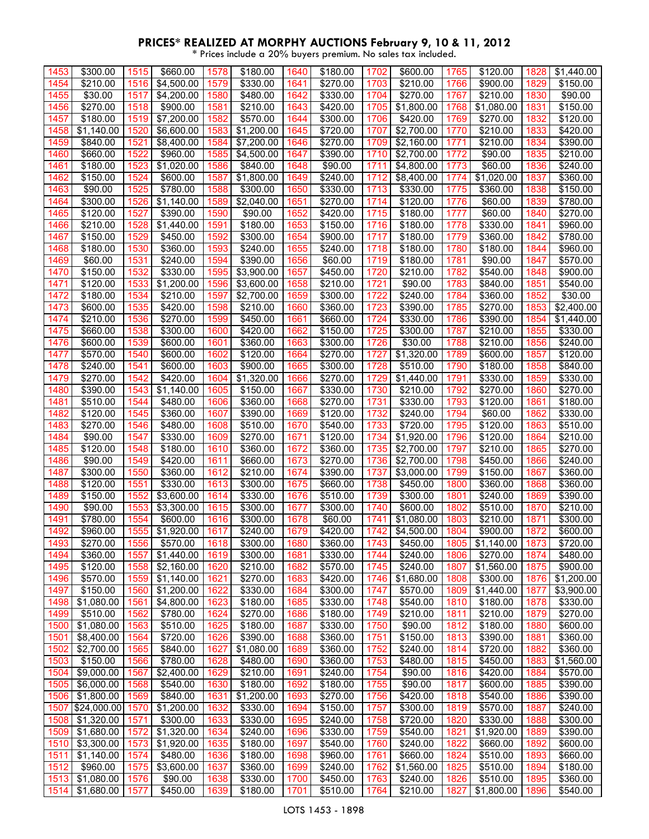| 1453 | \$300.00                | 1515 | \$660.00   | 1578 | \$180.00   | 1640 | \$180.00         | 1702 | \$600.00   | 1765 | \$120.00   | 1828 | \$1,440.00       |
|------|-------------------------|------|------------|------|------------|------|------------------|------|------------|------|------------|------|------------------|
| 1454 | \$210.00                | 1516 | \$4,500.00 | 1579 | \$330.00   | 1641 | \$270.00         | 1703 | \$210.00   | 1766 | \$900.00   | 1829 | \$150.00         |
| 1455 | \$30.00                 | 1517 | \$4,200.00 | 1580 | \$480.00   | 1642 | \$330.00         | 1704 | \$270.00   | 1767 | \$210.00   | 1830 | \$90.00          |
| 1456 | \$270.00                | 1518 | \$900.00   | 1581 | \$210.00   | 1643 | \$420.00         | 1705 | \$1,800.00 | 1768 | \$1,080.00 | 1831 | \$150.00         |
| 1457 | \$180.00                | 1519 | \$7,200.00 | 1582 | \$570.00   | 1644 | \$300.00         | 1706 | \$420.00   | 1769 | \$270.00   | 1832 | \$120.00         |
| 1458 | \$1,140.00              | 1520 | \$6,600.00 | 1583 | \$1,200.00 | 1645 | $\sqrt{$720.00}$ | 1707 | \$2,700.00 | 1770 | \$210.00   | 1833 | \$420.00         |
| 1459 | \$840.00                | 1521 | \$8,400.00 | 1584 | \$7,200.00 | 1646 | \$270.00         | 1709 | \$2,160.00 | 1771 | \$210.00   | 1834 | \$390.00         |
| 1460 | \$660.00                | 1522 | \$960.00   | 1585 | \$4,500.00 | 1647 | \$390.00         | 1710 | \$2,700.00 | 1772 | \$90.00    | 1835 | \$210.00         |
| 1461 | \$180.00                | 1523 | \$1,020.00 | 1586 | \$840.00   | 1648 | \$90.00          | 1711 | \$4,800.00 | 1773 | \$60.00    | 1836 | \$240.00         |
| 1462 | \$150.00                | 1524 | \$600.00   | 1587 | \$1,800.00 | 1649 | \$240.00         | 1712 | \$8,400.00 | 1774 | \$1,020.00 | 1837 | \$360.00         |
| 1463 | \$90.00                 | 1525 | \$780.00   | 1588 | \$300.00   | 1650 | \$330.00         | 1713 | \$330.00   | 1775 | \$360.00   | 1838 | \$150.00         |
| 1464 | \$300.00                | 1526 | \$1,140.00 | 1589 | \$2,040.00 | 1651 | \$270.00         | 1714 | \$120.00   | 1776 | \$60.00    | 1839 | \$780.00         |
| 1465 | \$120.00                | 1527 | \$390.00   | 1590 | \$90.00    | 1652 | \$420.00         | 1715 | \$180.00   | 1777 | \$60.00    | 1840 | \$270.00         |
| 1466 | \$210.00                | 1528 | \$1,440.00 | 1591 | \$180.00   | 1653 | \$150.00         | 1716 | \$180.00   | 1778 | \$330.00   | 1841 | \$960.00         |
| 1467 | \$150.00                | 1529 | \$450.00   | 1592 | \$300.00   | 1654 | \$900.00         | 1717 | \$180.00   | 1779 | \$360.00   | 1842 | \$780.00         |
| 1468 | \$180.00                | 1530 | \$360.00   | 1593 | \$240.00   | 1655 | \$240.00         | 1718 | \$180.00   | 1780 | \$180.00   | 1844 | \$960.00         |
| 1469 | \$60.00                 | 1531 | \$240.00   | 1594 | \$390.00   | 1656 | \$60.00          | 1719 | \$180.00   | 1781 | \$90.00    | 1847 | \$570.00         |
| 1470 | \$150.00                | 1532 | \$330.00   | 1595 | \$3,900.00 | 1657 | \$450.00         | 1720 | \$210.00   | 1782 | \$540.00   | 1848 | \$900.00         |
| 1471 | \$120.00                | 1533 | \$1,200.00 | 1596 | \$3,600.00 | 1658 | \$210.00         | 1721 | \$90.00    | 1783 | \$840.00   | 1851 | \$540.00         |
| 1472 | \$180.00                | 1534 | \$210.00   | 1597 | \$2,700.00 | 1659 | \$300.00         | 1722 | \$240.00   | 1784 | \$360.00   | 1852 | \$30.00          |
| 1473 | \$600.00                | 1535 | \$420.00   | 1598 | \$210.00   | 1660 | \$360.00         | 1723 | \$390.00   | 1785 | \$270.00   | 1853 | \$2,400.00       |
| 1474 | \$210.00                | 1536 | \$270.00   | 1599 | \$450.00   | 1661 | \$660.00         | 1724 | \$330.00   | 1786 | \$390.00   | 1854 | \$1,440.00       |
| 1475 | \$660.00                | 1538 | \$300.00   | 1600 | \$420.00   | 1662 | \$150.00         | 1725 | \$300.00   | 1787 | \$210.00   | 1855 | \$330.00         |
| 1476 | \$600.00                | 1539 | \$600.00   | 1601 | \$360.00   | 1663 | \$300.00         | 1726 | \$30.00    | 1788 | \$210.00   | 1856 | \$240.00         |
| 1477 | \$570.00                | 1540 | \$600.00   | 1602 | \$120.00   | 1664 | \$270.00         | 1727 | \$1,320.00 | 1789 | \$600.00   | 1857 | \$120.00         |
| 1478 | \$240.00                | 1541 | \$600.00   | 1603 | \$900.00   | 1665 | \$300.00         | 1728 | \$510.00   | 1790 | \$180.00   | 1858 | \$840.00         |
| 1479 | \$270.00                | 1542 | \$420.00   | 1604 | \$1,320.00 | 1666 | $\sqrt{$270.00}$ | 1729 | \$1,440.00 | 1791 | \$330.00   | 1859 | \$330.00         |
| 1480 | \$390.00                | 1543 | \$1,140.00 | 1605 | \$150.00   | 1667 | \$330.00         | 1730 | \$210.00   | 1792 | \$270.00   | 1860 | \$270.00         |
| 1481 | \$510.00                | 1544 | \$480.00   | 1606 | \$360.00   | 1668 | \$270.00         | 1731 | \$330.00   | 1793 | \$120.00   | 1861 | $\sqrt{3}180.00$ |
| 1482 | \$120.00                | 1545 | \$360.00   | 1607 | \$390.00   | 1669 | \$120.00         | 1732 | \$240.00   | 1794 | \$60.00    | 1862 | \$330.00         |
| 1483 | \$270.00                | 1546 | \$480.00   | 1608 | \$510.00   | 1670 | \$540.00         | 1733 | \$720.00   | 1795 | \$120.00   | 1863 | \$510.00         |
| 1484 | \$90.00                 | 1547 | \$330.00   | 1609 | \$270.00   | 1671 | \$120.00         | 1734 | \$1,920.00 | 1796 | \$120.00   | 1864 | \$210.00         |
| 1485 | \$120.00                | 1548 | \$180.00   | 1610 | \$360.00   | 1672 | \$360.00         | 1735 | \$2,700.00 | 1797 | \$210.00   | 1865 | \$270.00         |
| 1486 | \$90.00                 | 1549 | \$420.00   | 1611 | \$660.00   | 1673 | \$270.00         | 1736 | \$2,700.00 | 1798 | \$450.00   | 1866 | \$240.00         |
| 1487 | \$300.00                | 1550 | \$360.00   | 1612 | \$210.00   | 1674 | \$390.00         | 1737 | \$3,000.00 | 1799 | \$150.00   | 1867 | \$360.00         |
| 1488 | \$120.00                | 1551 | \$330.00   | 1613 | \$300.00   | 1675 | \$660.00         | 1738 | \$450.00   | 1800 | \$360.00   | 1868 | \$360.00         |
| 1489 | \$150.00                | 1552 | \$3,600.00 | 1614 | \$330.00   | 1676 | \$510.00         | 1739 | \$300.00   | 1801 | \$240.00   | 1869 | \$390.00         |
| 1490 | \$90.00                 | 1553 | \$3,300.00 | 1615 | \$300.00   | 1677 | \$300.00         | 1740 | \$600.00   | 1802 | \$510.00   | 1870 | \$210.00         |
| 1491 | \$780.00                | 1554 | \$600.00   | 1616 | \$300.00   | 1678 | \$60.00          | 1741 | \$1,080.00 | 1803 | \$210.00   | 1871 | \$300.00         |
| 1492 | \$960.00                | 1555 | \$1,920.00 | 1617 | \$240.00   | 1679 | \$420.00         | 1742 | \$4,500.00 | 1804 | \$900.00   | 1872 | \$600.00         |
| 1493 | \$270.00                | 1556 | \$570.00   | 1618 | \$300.00   | 1680 | \$360.00         | 1743 | \$450.00   | 1805 | \$1,140.00 | 1873 | \$720.00         |
| 1494 | \$360.00                | 1557 | \$1,440.00 | 1619 | \$300.00   | 1681 | \$330.00         | 1744 | \$240.00   | 1806 | \$270.00   | 1874 | \$480.00         |
| 1495 | \$120.00                | 1558 | \$2,160.00 | 1620 | \$210.00   | 1682 | \$570.00         | 1745 | \$240.00   | 1807 | \$1,560.00 | 1875 | \$900.00         |
| 1496 | \$570.00                | 1559 | \$1,140.00 | 1621 | \$270.00   | 1683 | \$420.00         | 1746 | \$1,680.00 | 1808 | \$300.00   | 1876 | \$1,200.00       |
| 1497 | \$150.00                | 1560 | \$1,200.00 | 1622 | \$330.00   | 1684 | \$300.00         | 1747 | \$570.00   | 1809 | \$1,440.00 | 1877 | \$3,900.00       |
| 1498 | \$1,080.00              | 1561 | \$4,800.00 | 1623 | \$180.00   | 1685 | \$330.00         | 1748 | \$540.00   | 1810 | \$180.00   | 1878 | \$330.00         |
| 1499 | \$510.00                | 1562 | \$780.00   | 1624 | \$270.00   | 1686 | \$180.00         | 1749 | \$210.00   | 1811 | \$210.00   | 1879 | \$270.00         |
| 1500 | \$1,080.00              | 1563 | \$510.00   | 1625 | \$180.00   | 1687 | \$330.00         | 1750 | \$90.00    | 1812 | \$180.00   | 1880 | \$600.00         |
| 1501 | \$8,400.00              | 1564 | \$720.00   | 1626 | \$390.00   | 1688 | \$360.00         | 1751 | \$150.00   | 1813 | \$390.00   | 1881 | \$360.00         |
| 1502 | \$2,700.00              | 1565 | \$840.00   | 1627 | \$1,080.00 | 1689 | \$360.00         | 1752 | \$240.00   | 1814 | \$720.00   | 1882 | \$360.00         |
| 1503 | \$150.00                | 1566 | \$780.00   | 1628 | \$480.00   | 1690 | \$360.00         | 1753 | \$480.00   | 1815 | \$450.00   | 1883 | \$1,560.00       |
| 1504 | \$9,000.00              | 1567 | \$2,400.00 | 1629 | \$210.00   | 1691 | \$240.00         | 1754 | \$90.00    | 1816 | \$420.00   | 1884 | \$570.00         |
| 1505 | \$6,000.00              | 1568 | \$540.00   | 1630 | \$180.00   | 1692 | \$180.00         | 1755 | \$90.00    | 1817 | \$600.00   | 1885 | \$390.00         |
| 1506 | \$1,800.00              | 1569 | \$840.00   | 1631 | \$1,200.00 | 1693 | \$270.00         | 1756 | \$420.00   | 1818 | \$540.00   | 1886 | \$390.00         |
| 1507 | \$24,000.00             | 1570 | \$1,200.00 | 1632 | \$330.00   | 1694 | \$150.00         | 1757 | \$300.00   | 1819 | \$570.00   | 1887 | \$240.00         |
| 1508 | \$1,320.00              | 1571 | \$300.00   | 1633 | \$330.00   | 1695 | \$240.00         | 1758 | \$720.00   | 1820 | \$330.00   | 1888 | \$300.00         |
| 1509 | \$1,680.00              | 1572 | \$1,320.00 | 1634 | \$240.00   | 1696 | \$330.00         | 1759 | \$540.00   | 1821 | \$1,920.00 | 1889 | \$390.00         |
| 1510 | \$3,300.00              | 1573 | \$1,920.00 | 1635 | \$180.00   | 1697 | \$540.00         | 1760 | \$240.00   | 1822 | \$660.00   | 1892 | \$600.00         |
| 1511 | $\overline{\$1,140.00}$ | 1574 | \$480.00   | 1636 | \$180.00   | 1698 | \$960.00         | 1761 | \$660.00   | 1824 | \$510.00   | 1893 | \$660.00         |
| 1512 | \$960.00                | 1575 | \$3,600.00 | 1637 | \$360.00   | 1699 | \$240.00         | 1762 | \$1,560.00 | 1825 | \$510.00   | 1894 | \$180.00         |
| 1513 | \$1,080.00              | 1576 | \$90.00    | 1638 | \$330.00   | 1700 | \$450.00         | 1763 | \$240.00   | 1826 | \$510.00   | 1895 | \$360.00         |
| 1514 | \$1,680.00              | 1577 | \$450.00   | 1639 | \$180.00   | 1701 | \$510.00         | 1764 | \$210.00   | 1827 | \$1,800.00 | 1896 | \$540.00         |